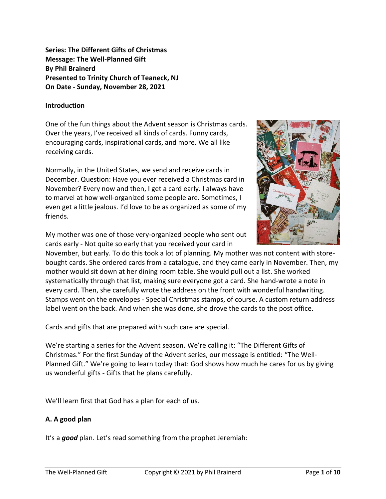**Series: The Different Gifts of Christmas Message: The Well-Planned Gift By Phil Brainerd Presented to Trinity Church of Teaneck, NJ On Date - Sunday, November 28, 2021**

## **Introduction**

One of the fun things about the Advent season is Christmas cards. Over the years, I've received all kinds of cards. Funny cards, encouraging cards, inspirational cards, and more. We all like receiving cards.

Normally, in the United States, we send and receive cards in December. Question: Have you ever received a Christmas card in November? Every now and then, I get a card early. I always have to marvel at how well-organized some people are. Sometimes, I even get a little jealous. I'd love to be as organized as some of my friends.

My mother was one of those very-organized people who sent out cards early - Not quite so early that you received your card in



November, but early. To do this took a lot of planning. My mother was not content with storebought cards. She ordered cards from a catalogue, and they came early in November. Then, my mother would sit down at her dining room table. She would pull out a list. She worked systematically through that list, making sure everyone got a card. She hand-wrote a note in every card. Then, she carefully wrote the address on the front with wonderful handwriting. Stamps went on the envelopes - Special Christmas stamps, of course. A custom return address label went on the back. And when she was done, she drove the cards to the post office.

Cards and gifts that are prepared with such care are special.

We're starting a series for the Advent season. We're calling it: "The Different Gifts of Christmas." For the first Sunday of the Advent series, our message is entitled: "The Well-Planned Gift." We're going to learn today that: God shows how much he cares for us by giving us wonderful gifts - Gifts that he plans carefully.

We'll learn first that God has a plan for each of us.

## **A. A good plan**

It's a *good* plan. Let's read something from the prophet Jeremiah: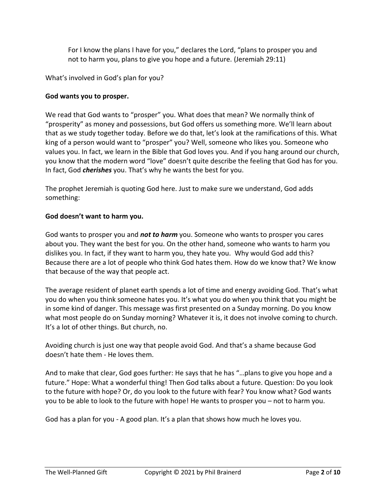For I know the plans I have for you," declares the Lord, "plans to prosper you and not to harm you, plans to give you hope and a future. (Jeremiah 29:11)

What's involved in God's plan for you?

### **God wants you to prosper.**

We read that God wants to "prosper" you. What does that mean? We normally think of "prosperity" as money and possessions, but God offers us something more. We'll learn about that as we study together today. Before we do that, let's look at the ramifications of this. What king of a person would want to "prosper" you? Well, someone who likes you. Someone who values you. In fact, we learn in the Bible that God loves you. And if you hang around our church, you know that the modern word "love" doesn't quite describe the feeling that God has for you. In fact, God *cherishes* you. That's why he wants the best for you.

The prophet Jeremiah is quoting God here. Just to make sure we understand, God adds something:

### **God doesn't want to harm you.**

God wants to prosper you and *not to harm* you. Someone who wants to prosper you cares about you. They want the best for you. On the other hand, someone who wants to harm you dislikes you. In fact, if they want to harm you, they hate you. Why would God add this? Because there are a lot of people who think God hates them. How do we know that? We know that because of the way that people act.

The average resident of planet earth spends a lot of time and energy avoiding God. That's what you do when you think someone hates you. It's what you do when you think that you might be in some kind of danger. This message was first presented on a Sunday morning. Do you know what most people do on Sunday morning? Whatever it is, it does not involve coming to church. It's a lot of other things. But church, no.

Avoiding church is just one way that people avoid God. And that's a shame because God doesn't hate them - He loves them.

And to make that clear, God goes further: He says that he has "…plans to give you hope and a future." Hope: What a wonderful thing! Then God talks about a future. Question: Do you look to the future with hope? Or, do you look to the future with fear? You know what? God wants you to be able to look to the future with hope! He wants to prosper you – not to harm you.

God has a plan for you - A good plan. It's a plan that shows how much he loves you.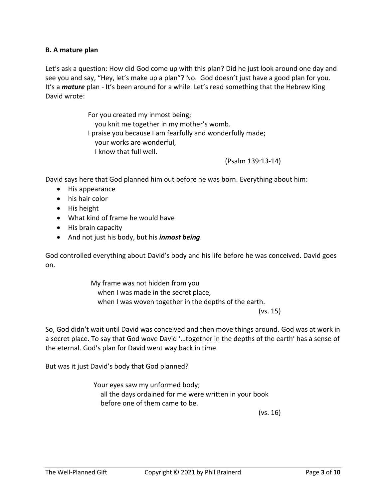### **B. A mature plan**

Let's ask a question: How did God come up with this plan? Did he just look around one day and see you and say, "Hey, let's make up a plan"? No. God doesn't just have a good plan for you. It's a *mature* plan - It's been around for a while. Let's read something that the Hebrew King David wrote:

> For you created my inmost being; you knit me together in my mother's womb. I praise you because I am fearfully and wonderfully made; your works are wonderful, I know that full well.

> > (Psalm 139:13-14)

David says here that God planned him out before he was born. Everything about him:

- His appearance
- his hair color
- His height
- What kind of frame he would have
- His brain capacity
- And not just his body, but his *inmost being*.

God controlled everything about David's body and his life before he was conceived. David goes on.

> My frame was not hidden from you when I was made in the secret place, when I was woven together in the depths of the earth.

(vs. 15)

So, God didn't wait until David was conceived and then move things around. God was at work in a secret place. To say that God wove David '…together in the depths of the earth' has a sense of the eternal. God's plan for David went way back in time.

But was it just David's body that God planned?

Your eyes saw my unformed body; all the days ordained for me were written in your book before one of them came to be.

(vs. 16)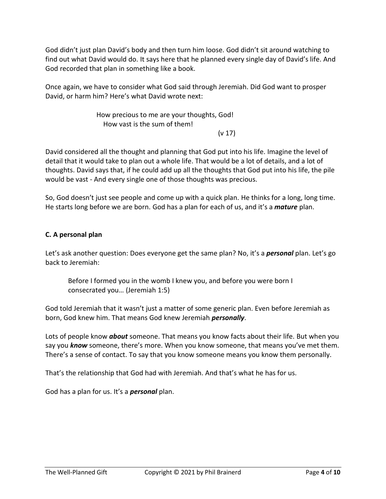God didn't just plan David's body and then turn him loose. God didn't sit around watching to find out what David would do. It says here that he planned every single day of David's life. And God recorded that plan in something like a book.

Once again, we have to consider what God said through Jeremiah. Did God want to prosper David, or harm him? Here's what David wrote next:

> How precious to me are your thoughts, God! How vast is the sum of them!

(v 17)

David considered all the thought and planning that God put into his life. Imagine the level of detail that it would take to plan out a whole life. That would be a lot of details, and a lot of thoughts. David says that, if he could add up all the thoughts that God put into his life, the pile would be vast - And every single one of those thoughts was precious.

So, God doesn't just see people and come up with a quick plan. He thinks for a long, long time. He starts long before we are born. God has a plan for each of us, and it's a *mature* plan.

# **C. A personal plan**

Let's ask another question: Does everyone get the same plan? No, it's a *personal* plan. Let's go back to Jeremiah:

Before I formed you in the womb I knew you, and before you were born I consecrated you… (Jeremiah 1:5)

God told Jeremiah that it wasn't just a matter of some generic plan. Even before Jeremiah as born, God knew him. That means God knew Jeremiah *personally*.

Lots of people know *about* someone. That means you know facts about their life. But when you say you *know* someone, there's more. When you know someone, that means you've met them. There's a sense of contact. To say that you know someone means you know them personally.

That's the relationship that God had with Jeremiah. And that's what he has for us.

God has a plan for us. It's a *personal* plan.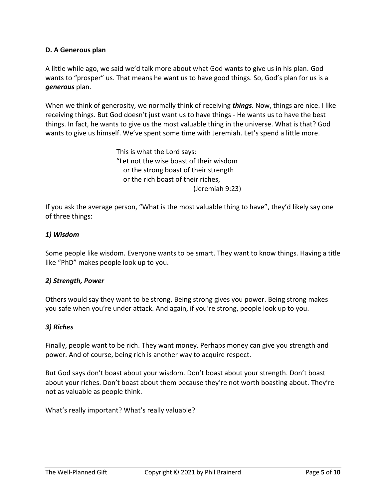## **D. A Generous plan**

A little while ago, we said we'd talk more about what God wants to give us in his plan. God wants to "prosper" us. That means he want us to have good things. So, God's plan for us is a *generous* plan.

When we think of generosity, we normally think of receiving *things*. Now, things are nice. I like receiving things. But God doesn't just want us to have things - He wants us to have the best things. In fact, he wants to give us the most valuable thing in the universe. What is that? God wants to give us himself. We've spent some time with Jeremiah. Let's spend a little more.

> This is what the Lord says: "Let not the wise boast of their wisdom or the strong boast of their strength or the rich boast of their riches, (Jeremiah 9:23)

If you ask the average person, "What is the most valuable thing to have", they'd likely say one of three things:

## *1) Wisdom*

Some people like wisdom. Everyone wants to be smart. They want to know things. Having a title like "PhD" makes people look up to you.

### *2) Strength, Power*

Others would say they want to be strong. Being strong gives you power. Being strong makes you safe when you're under attack. And again, if you're strong, people look up to you.

### *3) Riches*

Finally, people want to be rich. They want money. Perhaps money can give you strength and power. And of course, being rich is another way to acquire respect.

But God says don't boast about your wisdom. Don't boast about your strength. Don't boast about your riches. Don't boast about them because they're not worth boasting about. They're not as valuable as people think.

What's really important? What's really valuable?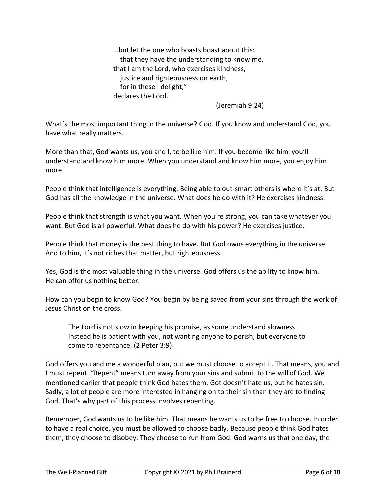…but let the one who boasts boast about this: that they have the understanding to know me, that I am the Lord, who exercises kindness, justice and righteousness on earth, for in these I delight," declares the Lord.

(Jeremiah 9:24)

What's the most important thing in the universe? God. If you know and understand God, you have what really matters.

More than that, God wants us, you and I, to be like him. If you become like him, you'll understand and know him more. When you understand and know him more, you enjoy him more.

People think that intelligence is everything. Being able to out-smart others is where it's at. But God has all the knowledge in the universe. What does he do with it? He exercises kindness.

People think that strength is what you want. When you're strong, you can take whatever you want. But God is all powerful. What does he do with his power? He exercises justice.

People think that money is the best thing to have. But God owns everything in the universe. And to him, it's not riches that matter, but righteousness.

Yes, God is the most valuable thing in the universe. God offers us the ability to know him. He can offer us nothing better.

How can you begin to know God? You begin by being saved from your sins through the work of Jesus Christ on the cross.

The Lord is not slow in keeping his promise, as some understand slowness. Instead he is patient with you, not wanting anyone to perish, but everyone to come to repentance. (2 Peter 3:9)

God offers you and me a wonderful plan, but we must choose to accept it. That means, you and I must repent. "Repent" means turn away from your sins and submit to the will of God. We mentioned earlier that people think God hates them. Got doesn't hate us, but he hates sin. Sadly, a lot of people are more interested in hanging on to their sin than they are to finding God. That's why part of this process involves repenting.

Remember, God wants us to be like him. That means he wants us to be free to choose. In order to have a real choice, you must be allowed to choose badly. Because people think God hates them, they choose to disobey. They choose to run from God. God warns us that one day, the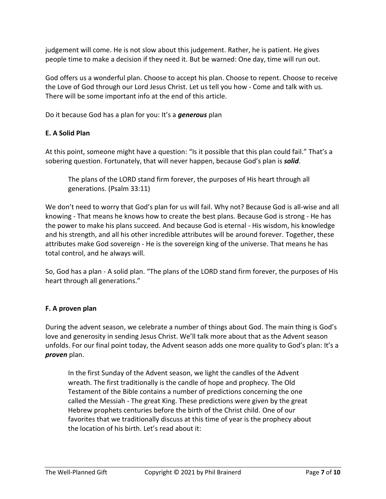judgement will come. He is not slow about this judgement. Rather, he is patient. He gives people time to make a decision if they need it. But be warned: One day, time will run out.

God offers us a wonderful plan. Choose to accept his plan. Choose to repent. Choose to receive the Love of God through our Lord Jesus Christ. Let us tell you how - Come and talk with us. There will be some important info at the end of this article.

Do it because God has a plan for you: It's a *generous* plan

# **E. A Solid Plan**

At this point, someone might have a question: "Is it possible that this plan could fail." That's a sobering question. Fortunately, that will never happen, because God's plan is *solid*.

The plans of the LORD stand firm forever, the purposes of His heart through all generations. (Psalm 33:11)

We don't need to worry that God's plan for us will fail. Why not? Because God is all-wise and all knowing - That means he knows how to create the best plans. Because God is strong - He has the power to make his plans succeed. And because God is eternal - His wisdom, his knowledge and his strength, and all his other incredible attributes will be around forever. Together, these attributes make God sovereign - He is the sovereign king of the universe. That means he has total control, and he always will.

So, God has a plan - A solid plan. "The plans of the LORD stand firm forever, the purposes of His heart through all generations."

## **F. A proven plan**

During the advent season, we celebrate a number of things about God. The main thing is God's love and generosity in sending Jesus Christ. We'll talk more about that as the Advent season unfolds. For our final point today, the Advent season adds one more quality to God's plan: It's a *proven* plan.

In the first Sunday of the Advent season, we light the candles of the Advent wreath. The first traditionally is the candle of hope and prophecy. The Old Testament of the Bible contains a number of predictions concerning the one called the Messiah - The great King. These predictions were given by the great Hebrew prophets centuries before the birth of the Christ child. One of our favorites that we traditionally discuss at this time of year is the prophecy about the location of his birth. Let's read about it: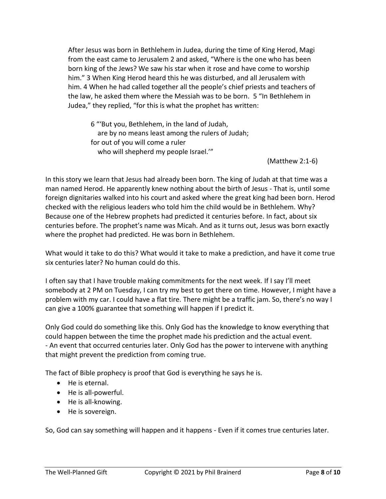After Jesus was born in Bethlehem in Judea, during the time of King Herod, Magi from the east came to Jerusalem 2 and asked, "Where is the one who has been born king of the Jews? We saw his star when it rose and have come to worship him." 3 When King Herod heard this he was disturbed, and all Jerusalem with him. 4 When he had called together all the people's chief priests and teachers of the law, he asked them where the Messiah was to be born. 5 "In Bethlehem in Judea," they replied, "for this is what the prophet has written:

6 "'But you, Bethlehem, in the land of Judah, are by no means least among the rulers of Judah; for out of you will come a ruler who will shepherd my people Israel."

(Matthew 2:1-6)

In this story we learn that Jesus had already been born. The king of Judah at that time was a man named Herod. He apparently knew nothing about the birth of Jesus - That is, until some foreign dignitaries walked into his court and asked where the great king had been born. Herod checked with the religious leaders who told him the child would be in Bethlehem. Why? Because one of the Hebrew prophets had predicted it centuries before. In fact, about six centuries before. The prophet's name was Micah. And as it turns out, Jesus was born exactly where the prophet had predicted. He was born in Bethlehem.

What would it take to do this? What would it take to make a prediction, and have it come true six centuries later? No human could do this.

I often say that I have trouble making commitments for the next week. If I say I'll meet somebody at 2 PM on Tuesday, I can try my best to get there on time. However, I might have a problem with my car. I could have a flat tire. There might be a traffic jam. So, there's no way I can give a 100% guarantee that something will happen if I predict it.

Only God could do something like this. Only God has the knowledge to know everything that could happen between the time the prophet made his prediction and the actual event. - An event that occurred centuries later. Only God has the power to intervene with anything that might prevent the prediction from coming true.

The fact of Bible prophecy is proof that God is everything he says he is.

- He is eternal.
- He is all-powerful.
- He is all-knowing.
- He is sovereign.

So, God can say something will happen and it happens - Even if it comes true centuries later.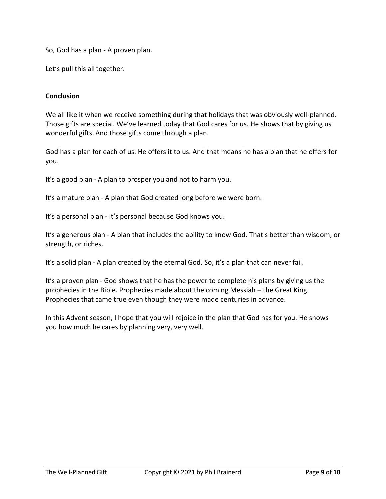So, God has a plan - A proven plan.

Let's pull this all together.

#### **Conclusion**

We all like it when we receive something during that holidays that was obviously well-planned. Those gifts are special. We've learned today that God cares for us. He shows that by giving us wonderful gifts. And those gifts come through a plan.

God has a plan for each of us. He offers it to us. And that means he has a plan that he offers for you.

It's a good plan - A plan to prosper you and not to harm you.

It's a mature plan - A plan that God created long before we were born.

It's a personal plan - It's personal because God knows you.

It's a generous plan - A plan that includes the ability to know God. That's better than wisdom, or strength, or riches.

It's a solid plan - A plan created by the eternal God. So, it's a plan that can never fail.

It's a proven plan - God shows that he has the power to complete his plans by giving us the prophecies in the Bible. Prophecies made about the coming Messiah – the Great King. Prophecies that came true even though they were made centuries in advance.

In this Advent season, I hope that you will rejoice in the plan that God has for you. He shows you how much he cares by planning very, very well.